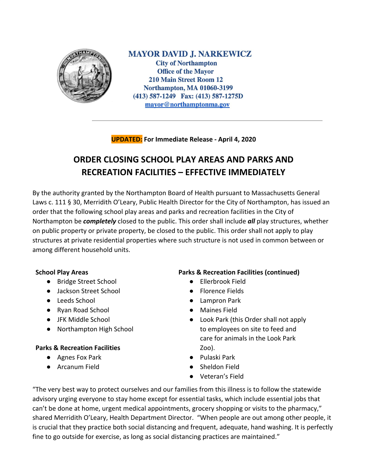

**MAYOR DAVID J. NARKEWICZ City of Northampton Office of the Mayor 210 Main Street Room 12 Northampton, MA 01060-3199** (413) 587-1249 Fax: (413) 587-1275D mayor@northamptonma.gov

**UPDATED: For Immediate Release - April 4, 2020**

# **ORDER CLOSING SCHOOL PLAY AREAS AND PARKS AND RECREATION FACILITIES – EFFECTIVE IMMEDIATELY**

By the authority granted by the Northampton Board of Health pursuant to Massachusetts General Laws c. 111 § 30, Merridith O'Leary, Public Health Director for the City of Northampton, has issued an order that the following school play areas and parks and recreation facilities in the City of Northampton be *completely* closed to the public. This order shall include *all* play structures, whether on public property or private property, be closed to the public. This order shall not apply to play structures at private residential properties where such structure is not used in common between or among different household units.

## **School Play Areas**

- Bridge Street School
- Jackson Street School
- Leeds School
- Ryan Road School
- JFK Middle School
- Northampton High School

## **Parks & Recreation Facilities**

- Agnes Fox Park
- Arcanum Field

## **Parks & Recreation Facilities (continued)**

- Ellerbrook Field
- Florence Fields
- Lampron Park
- Maines Field
- Look Park (this Order shall not apply to employees on site to feed and care for animals in the Look Park Zoo).
- Pulaski Park
- Sheldon Field
- Veteran's Field

"The very best way to protect ourselves and our families from this illness is to follow the statewide advisory urging everyone to stay home except for essential tasks, which include essential jobs that can't be done at home, urgent medical appointments, grocery shopping or visits to the pharmacy," shared Merridith O'Leary, Health Department Director. "When people are out among other people, it is crucial that they practice both social distancing and frequent, adequate, hand washing. It is perfectly fine to go outside for exercise, as long as social distancing practices are maintained."